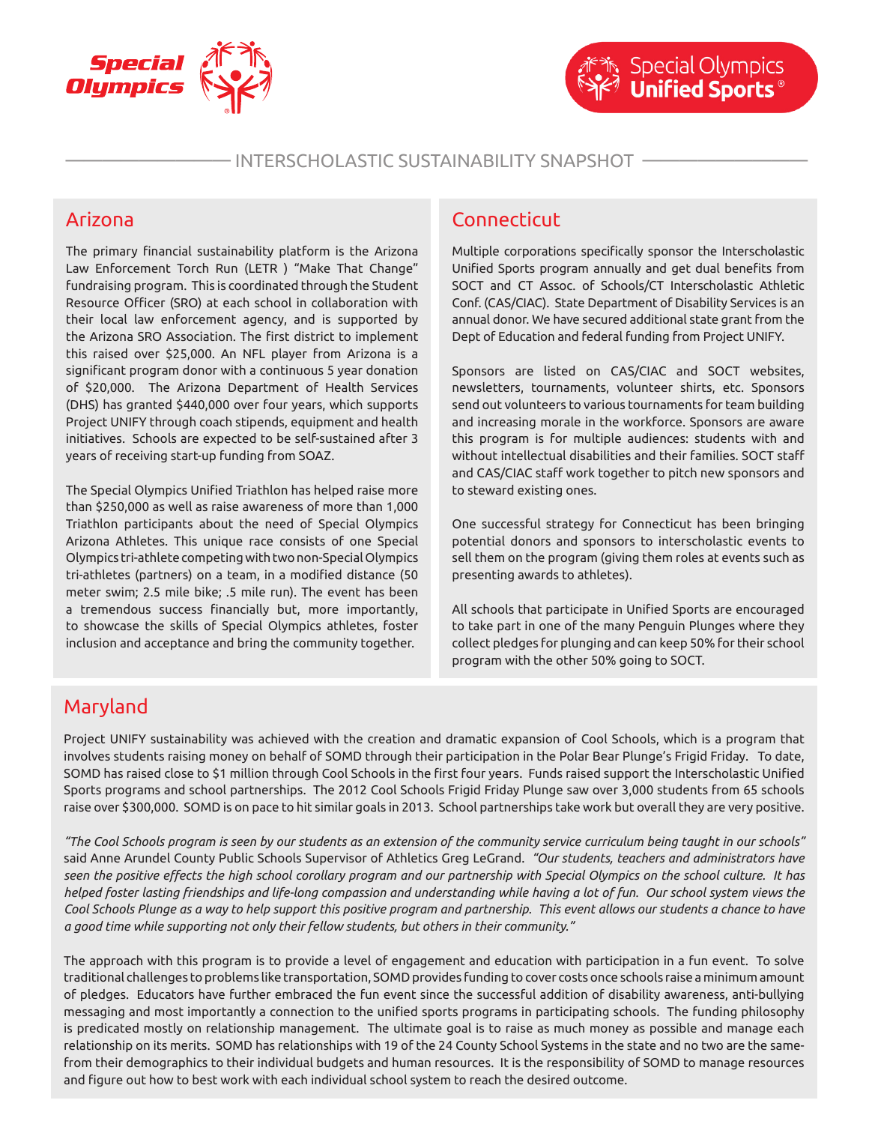

#### INTERSCHOLASTIC SUSTAINABILITY SNAPSHOT -

#### Arizona

The primary financial sustainability platform is the Arizona Law Enforcement Torch Run (LETR ) "Make That Change" fundraising program. This is coordinated through the Student Resource Officer (SRO) at each school in collaboration with their local law enforcement agency, and is supported by the Arizona SRO Association. The first district to implement this raised over \$25,000. An NFL player from Arizona is a significant program donor with a continuous 5 year donation of \$20,000. The Arizona Department of Health Services (DHS) has granted \$440,000 over four years, which supports Project UNIFY through coach stipends, equipment and health initiatives. Schools are expected to be self-sustained after 3 years of receiving start-up funding from SOAZ.

The Special Olympics Unified Triathlon has helped raise more than \$250,000 as well as raise awareness of more than 1,000 Triathlon participants about the need of Special Olympics Arizona Athletes. This unique race consists of one Special Olympics tri-athlete competing with two non-Special Olympics tri-athletes (partners) on a team, in a modified distance (50 meter swim; 2.5 mile bike; .5 mile run). The event has been a tremendous success financially but, more importantly, to showcase the skills of Special Olympics athletes, foster inclusion and acceptance and bring the community together.

## **Connecticut**

Multiple corporations specifically sponsor the Interscholastic Unified Sports program annually and get dual benefits from SOCT and CT Assoc. of Schools/CT Interscholastic Athletic Conf. (CAS/CIAC). State Department of Disability Services is an annual donor. We have secured additional state grant from the Dept of Education and federal funding from Project UNIFY.

Sponsors are listed on CAS/CIAC and SOCT websites, newsletters, tournaments, volunteer shirts, etc. Sponsors send out volunteers to various tournaments for team building and increasing morale in the workforce. Sponsors are aware this program is for multiple audiences: students with and without intellectual disabilities and their families. SOCT staff and CAS/CIAC staff work together to pitch new sponsors and to steward existing ones.

One successful strategy for Connecticut has been bringing potential donors and sponsors to interscholastic events to sell them on the program (giving them roles at events such as presenting awards to athletes).

All schools that participate in Unified Sports are encouraged to take part in one of the many Penguin Plunges where they collect pledges for plunging and can keep 50% for their school program with the other 50% going to SOCT.

# Maryland

Project UNIFY sustainability was achieved with the creation and dramatic expansion of Cool Schools, which is a program that involves students raising money on behalf of SOMD through their participation in the Polar Bear Plunge's Frigid Friday. To date, SOMD has raised close to \$1 million through Cool Schools in the first four years. Funds raised support the Interscholastic Unified Sports programs and school partnerships. The 2012 Cool Schools Frigid Friday Plunge saw over 3,000 students from 65 schools raise over \$300,000. SOMD is on pace to hit similar goals in 2013. School partnerships take work but overall they are very positive.

*"The Cool Schools program is seen by our students as an extension of the community service curriculum being taught in our schools"* said Anne Arundel County Public Schools Supervisor of Athletics Greg LeGrand. *"Our students, teachers and administrators have seen the positive effects the high school corollary program and our partnership with Special Olympics on the school culture. It has helped foster lasting friendships and life-long compassion and understanding while having a lot of fun. Our school system views the Cool Schools Plunge as a way to help support this positive program and partnership. This event allows our students a chance to have a good time while supporting not only their fellow students, but others in their community."*

The approach with this program is to provide a level of engagement and education with participation in a fun event. To solve traditional challenges to problems like transportation, SOMD provides funding to cover costs once schools raise a minimum amount of pledges. Educators have further embraced the fun event since the successful addition of disability awareness, anti-bullying messaging and most importantly a connection to the unified sports programs in participating schools. The funding philosophy is predicated mostly on relationship management. The ultimate goal is to raise as much money as possible and manage each relationship on its merits. SOMD has relationships with 19 of the 24 County School Systems in the state and no two are the samefrom their demographics to their individual budgets and human resources. It is the responsibility of SOMD to manage resources and figure out how to best work with each individual school system to reach the desired outcome.